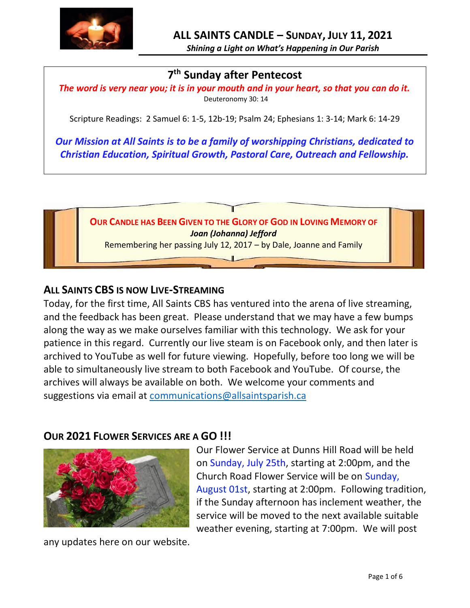

*Shining a Light on What's Happening in Our Parish*

# **7 th Sunday after Pentecost**

*The word is very near you; it is in your mouth and in your heart, so that you can do it.* Deuteronomy 30: 14

Scripture Readings: 2 Samuel 6: 1-5, 12b-19; Psalm 24; Ephesians 1: 3-14; Mark 6: 14-29

*Our Mission at All Saints is to be a family of worshipping Christians, dedicated to Christian Education, Spiritual Growth, Pastoral Care, Outreach and Fellowship.*



#### **ALL SAINTS CBS IS NOW LIVE-STREAMING**

Today, for the first time, All Saints CBS has ventured into the arena of live streaming, and the feedback has been great. Please understand that we may have a few bumps along the way as we make ourselves familiar with this technology. We ask for your patience in this regard. Currently our live steam is on Facebook only, and then later is archived to YouTube as well for future viewing. Hopefully, before too long we will be able to simultaneously live stream to both Facebook and YouTube. Of course, the archives will always be available on both. We welcome your comments and suggestions via email at [communications@allsaintsparish.ca](mailto:communications@allsaintsparish.ca)

#### **OUR 2021 FLOWER SERVICES ARE A GO !!!**



Our Flower Service at Dunns Hill Road will be held on Sunday, July 25th, starting at 2:00pm, and the Church Road Flower Service will be on Sunday, August 01st, starting at 2:00pm. Following tradition, if the Sunday afternoon has inclement weather, the service will be moved to the next available suitable weather evening, starting at 7:00pm. We will post

any updates here on our website.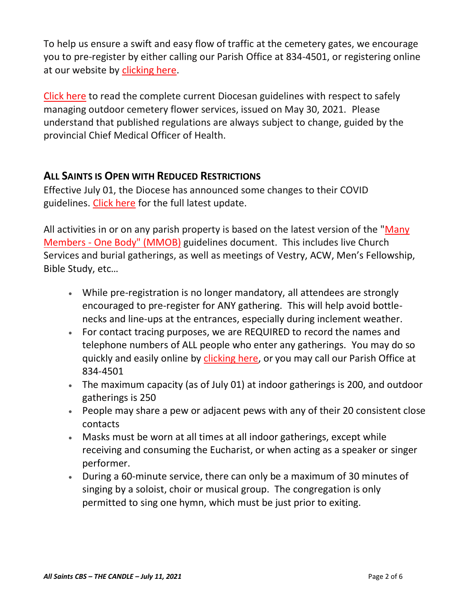To help us ensure a swift and easy flow of traffic at the cemetery gates, we encourage you to pre-register by either calling our Parish Office at 834-4501, or registering online at our website by [clicking here.](http://allsaintsparish.ca/covid-pre-registration-form_1)

[Click here](https://anglicanenl.net/home/wp-content/uploads/2021/05/Guidelines-for-Outdoor-Flower-services-May-2021.pdf) to read the complete current Diocesan guidelines with respect to safely managing outdoor cemetery flower services, issued on May 30, 2021. Please understand that published regulations are always subject to change, guided by the provincial Chief Medical Officer of Health.

### **ALL SAINTS IS OPEN WITH REDUCED RESTRICTIONS**

Effective July 01, the Diocese has announced some changes to their COVID guidelines. [Click here](http://allsaintsparish.ca/document_library/COVID-19/210630%20COVID%2019%20Update%20Effective%20July%201.pdf) for the full latest update.

All activities in or on any parish property is based on the latest version of the "Many Members - [One Body" \(MMOB\)](https://anglicanenl.net/home/wp-content/uploads/2021/02/Many-Members-One-Body-February-2021.pdf) guidelines document. This includes live Church Services and burial gatherings, as well as meetings of Vestry, ACW, Men's Fellowship, Bible Study, etc…

- While pre-registration is no longer mandatory, all attendees are strongly encouraged to pre-register for ANY gathering. This will help avoid bottlenecks and line-ups at the entrances, especially during inclement weather.
- For contact tracing purposes, we are REQUIRED to record the names and telephone numbers of ALL people who enter any gatherings. You may do so quickly and easily online by [clicking here,](http://allsaintsparish.ca/covid-pre-registration-form) or you may call our Parish Office at 834-4501
- The maximum capacity (as of July 01) at indoor gatherings is 200, and outdoor gatherings is 250
- People may share a pew or adjacent pews with any of their 20 consistent close contacts
- Masks must be worn at all times at all indoor gatherings, except while receiving and consuming the Eucharist, or when acting as a speaker or singer performer.
- During a 60-minute service, there can only be a maximum of 30 minutes of singing by a soloist, choir or musical group. The congregation is only permitted to sing one hymn, which must be just prior to exiting.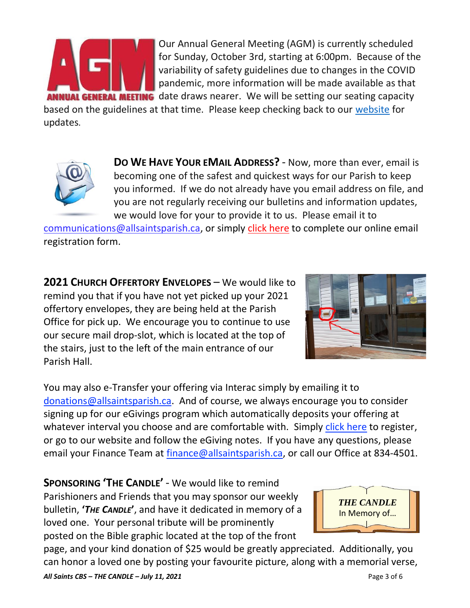

Our Annual General Meeting (AGM) is currently scheduled for Sunday, October 3rd, starting at 6:00pm. Because of the variability of safety guidelines due to changes in the COVID pandemic, more information will be made available as that **INUAL GENERAL MEETING** date draws nearer. We will be setting our seating capacity

based on the guidelines at that time. Please keep checking back to our [website](/Users/ralphfagan/Documents/All%20Saints%20Parish/Candle/ASP%202021%20Candle/allsaintsparish.ca) for updates.



**DO WE HAVE YOUR EMAIL ADDRESS?** - Now, more than ever, email is becoming one of the safest and quickest ways for our Parish to keep you informed. If we do not already have you email address on file, and you are not regularly receiving our bulletins and information updates, we would love for your to provide it to us. Please email it to

[communications@allsaintsparish.ca,](mailto:communications@allsaintsparish.ca?subject=eMail%20Address%20Update) or simply [click here](http://allsaintsparish.ca/email_updates) to complete our online email registration form.

**2021 CHURCH OFFERTORY ENVELOPES** – We would like to remind you that if you have not yet picked up your 2021 offertory envelopes, they are being held at the Parish Office for pick up. We encourage you to continue to use our secure mail drop-slot, which is located at the top of the stairs, just to the left of the main entrance of our Parish Hall.



You may also e-Transfer your offering via Interac simply by emailing it to [donations@allsaintsparish.ca.](mailto:donations@allsaintsparish.ca) And of course, we always encourage you to consider signing up for our eGivings program which automatically deposits your offering at whatever interval you choose and are comfortable with. Simply [click here](http://allsaintsparish.ca/egiving-online-information-form) to register, or go to our website and follow the eGiving notes. If you have [any](https://wfsites-to.websitecreatorprotool.com/870a5dd5.com/Admin/%7BSK_NODEID__22939341__SK%7D) questions, please email your Finance Team at [finance@allsaintsparish.ca,](mailto:finance@allsaintsparish.ca) or call our Office at 834-4501.

**SPONSORING 'THE CANDLE'** - We would like to remind Parishioners and Friends that you may sponsor our weekly bulletin, **'***THE CANDLE***'**, and have it dedicated in memory of a loved one. Your personal tribute will be prominently posted on the Bible graphic located at the top of the front

*THE CANDLE* In Memory of…

*All Saints CBS – THE CANDLE – July 11, 2021* Page 3 of 6 page, and your kind donation of \$25 would be greatly appreciated. Additionally, you can honor a loved one by posting your favourite picture, along with a memorial verse,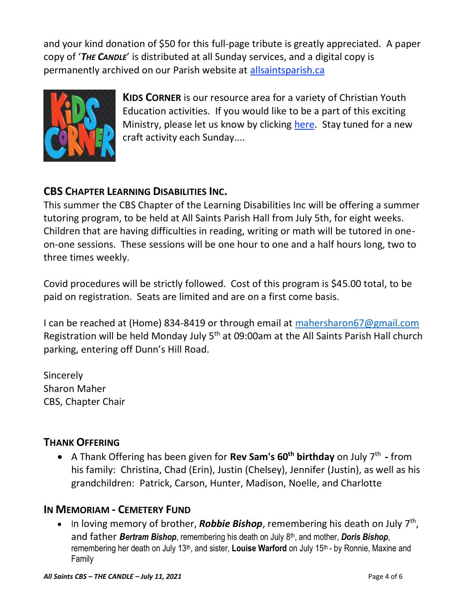and your kind donation of \$50 for this full-page tribute is greatly appreciated. A paper copy of '*THE CANDLE*' is distributed at all Sunday services, and a digital copy is permanently archived on our Parish website at [allsaintsparish.ca](http://allsaintsparish.ca/thecandle.html)



**KIDS CORNER** is our resource area for a variety of Christian Youth Education activities. If you would like to be a part of this exciting Ministry, please let us know by clicking [here.](http://allsaintsparish.ca/index.html#comments) Stay tuned for a new craft activity each Sunday....

# **CBS CHAPTER LEARNING DISABILITIES INC.**

This summer the CBS Chapter of the Learning Disabilities Inc will be offering a summer tutoring program, to be held at All Saints Parish Hall from July 5th, for eight weeks. Children that are having difficulties in reading, writing or math will be tutored in oneon-one sessions. These sessions will be one hour to one and a half hours long, two to three times weekly.

Covid procedures will be strictly followed. Cost of this program is \$45.00 total, to be paid on registration. Seats are limited and are on a first come basis.

I can be reached at (Home) 834-8419 or through email at [mahersharon67@gmail.com](mailto:mahersharon67@gmail.com) Registration will be held Monday July 5<sup>th</sup> at 09:00am at the All Saints Parish Hall church parking, entering off Dunn's Hill Road.

Sincerely Sharon Maher CBS, Chapter Chair

## **THANK OFFERING**

• A Thank Offering has been given for **Rev Sam's 60th birthday** on July 7th **-** from his family: Christina, Chad (Erin), Justin (Chelsey), Jennifer (Justin), as well as his grandchildren: Patrick, Carson, Hunter, Madison, Noelle, and Charlotte

## **IN MEMORIAM - CEMETERY FUND**

• In loving memory of brother, **Robbie Bishop**, remembering his death on July 7<sup>th</sup>, and father *Bertram Bishop*, remembering his death on July 8th, and mother, *Doris Bishop*, remembering her death on July 13<sup>th</sup>, and sister, **Louise Warford** on July 15<sup>th</sup> - by Ronnie, Maxine and Family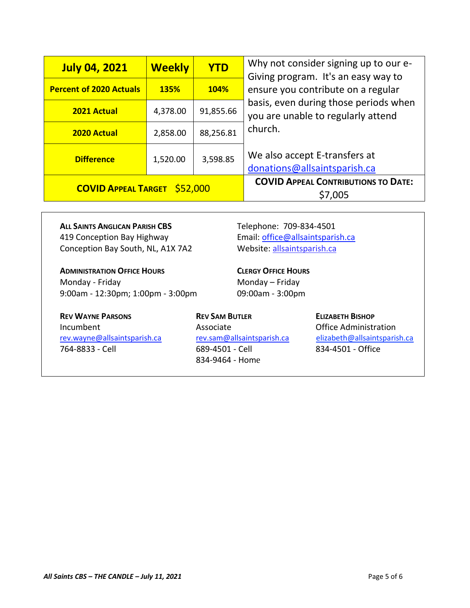| <b>July 04, 2021</b>                | <b>Weekly</b> | <b>YTD</b>  | Why not consider signing up to our e-<br>Giving program. It's an easy way to<br>ensure you contribute on a regular |
|-------------------------------------|---------------|-------------|--------------------------------------------------------------------------------------------------------------------|
| <b>Percent of 2020 Actuals</b>      | <b>135%</b>   | <b>104%</b> |                                                                                                                    |
| 2021 Actual                         | 4,378.00      | 91,855.66   | basis, even during those periods when<br>you are unable to regularly attend                                        |
| <b>2020 Actual</b>                  | 2,858.00      | 88,256.81   | church.                                                                                                            |
| <b>Difference</b>                   | 1,520.00      | 3,598.85    | We also accept E-transfers at<br>donations@allsaintsparish.ca                                                      |
| <b>COVID APPEAL TARGET \$52,000</b> |               |             | <b>COVID APPEAL CONTRIBUTIONS TO DATE:</b><br>\$7,005                                                              |

**ALL SAINTS ANGLICAN PARISH CBS** Telephone: 709-834-4501 419 Conception Bay Highway Email: [office@allsaintsparish.ca](mailto:office@allsaintsparish.ca) Conception Bay South, NL, A1X 7A2 Website: [allsaintsparish.ca](http://allsaintsparish.ca/)

**ADMINISTRATION OFFICE HOURS CLERGY OFFICE HOURS** Monday - Friday **Monday – Friday** 9:00am - 12:30pm; 1:00pm - 3:00pm 09:00am - 3:00pm

**REV WAYNE PARSONS REV SAM BUTLER ELIZABETH BISHOP** Incumbent **Associate** Associate **Office Administration** [rev.wayne@allsaintsparish.ca](mailto:rev.wayne@allsaintsparish.ca) [rev.sam@allsaintsparish.ca](mailto:rev.sam@allsaintsparish.ca) [elizabeth@allsaintsparish.ca](mailto:elizabeth@allsaintsparish.ca) 764-8833 - Cell 689-4501 - Cell 834-4501 - Office

834-9464 - Home